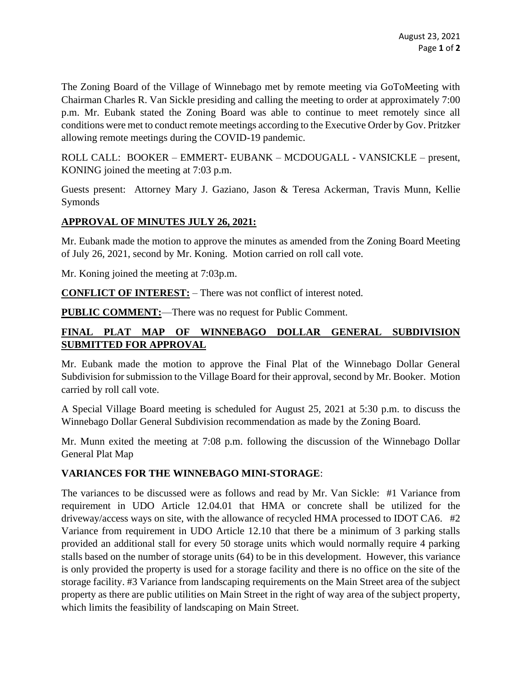The Zoning Board of the Village of Winnebago met by remote meeting via GoToMeeting with Chairman Charles R. Van Sickle presiding and calling the meeting to order at approximately 7:00 p.m. Mr. Eubank stated the Zoning Board was able to continue to meet remotely since all conditions were met to conduct remote meetings according to the Executive Order by Gov. Pritzker allowing remote meetings during the COVID-19 pandemic.

ROLL CALL: BOOKER – EMMERT- EUBANK – MCDOUGALL - VANSICKLE – present, KONING joined the meeting at 7:03 p.m.

Guests present: Attorney Mary J. Gaziano, Jason & Teresa Ackerman, Travis Munn, Kellie Symonds

## **APPROVAL OF MINUTES JULY 26, 2021:**

Mr. Eubank made the motion to approve the minutes as amended from the Zoning Board Meeting of July 26, 2021, second by Mr. Koning. Motion carried on roll call vote.

Mr. Koning joined the meeting at 7:03p.m.

**CONFLICT OF INTEREST:** – There was not conflict of interest noted.

**PUBLIC COMMENT:**—There was no request for Public Comment.

## **FINAL PLAT MAP OF WINNEBAGO DOLLAR GENERAL SUBDIVISION SUBMITTED FOR APPROVAL**

Mr. Eubank made the motion to approve the Final Plat of the Winnebago Dollar General Subdivision for submission to the Village Board for their approval, second by Mr. Booker. Motion carried by roll call vote.

A Special Village Board meeting is scheduled for August 25, 2021 at 5:30 p.m. to discuss the Winnebago Dollar General Subdivision recommendation as made by the Zoning Board.

Mr. Munn exited the meeting at 7:08 p.m. following the discussion of the Winnebago Dollar General Plat Map

## **VARIANCES FOR THE WINNEBAGO MINI-STORAGE**:

The variances to be discussed were as follows and read by Mr. Van Sickle: #1 Variance from requirement in UDO Article 12.04.01 that HMA or concrete shall be utilized for the driveway/access ways on site, with the allowance of recycled HMA processed to IDOT CA6. #2 Variance from requirement in UDO Article 12.10 that there be a minimum of 3 parking stalls provided an additional stall for every 50 storage units which would normally require 4 parking stalls based on the number of storage units (64) to be in this development. However, this variance is only provided the property is used for a storage facility and there is no office on the site of the storage facility. #3 Variance from landscaping requirements on the Main Street area of the subject property as there are public utilities on Main Street in the right of way area of the subject property, which limits the feasibility of landscaping on Main Street.